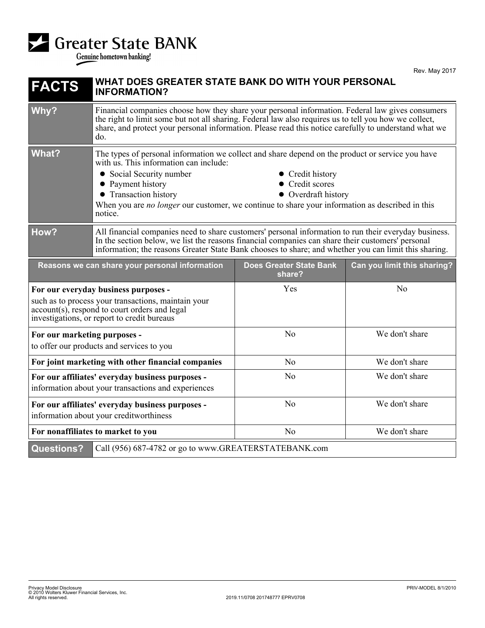

Rev. May 2017

| <b>FACTS</b>                                                                                                                                                                                | WHAT DOES GREATER STATE BANK DO WITH YOUR PERSONAL<br><b>INFORMATION?</b>                                                                                                                                                                                                                                                                                                                           |                                          |                             |
|---------------------------------------------------------------------------------------------------------------------------------------------------------------------------------------------|-----------------------------------------------------------------------------------------------------------------------------------------------------------------------------------------------------------------------------------------------------------------------------------------------------------------------------------------------------------------------------------------------------|------------------------------------------|-----------------------------|
| Why?                                                                                                                                                                                        | Financial companies choose how they share your personal information. Federal law gives consumers<br>the right to limit some but not all sharing. Federal law also requires us to tell you how we collect,<br>share, and protect your personal information. Please read this notice carefully to understand what we<br>do.                                                                           |                                          |                             |
| <b>What?</b>                                                                                                                                                                                | The types of personal information we collect and share depend on the product or service you have<br>with us. This information can include:<br>• Social Security number<br>Credit history<br>Credit scores<br>• Payment history<br>• Transaction history<br>• Overdraft history<br>When you are <i>no longer</i> our customer, we continue to share your information as described in this<br>notice. |                                          |                             |
| How?                                                                                                                                                                                        | All financial companies need to share customers' personal information to run their everyday business.<br>In the section below, we list the reasons financial companies can share their customers' personal<br>information; the reasons Greater State Bank chooses to share; and whether you can limit this sharing.                                                                                 |                                          |                             |
| Reasons we can share your personal information                                                                                                                                              |                                                                                                                                                                                                                                                                                                                                                                                                     | <b>Does Greater State Bank</b><br>share? | Can you limit this sharing? |
| For our everyday business purposes -<br>such as to process your transactions, maintain your<br>account(s), respond to court orders and legal<br>investigations, or report to credit bureaus |                                                                                                                                                                                                                                                                                                                                                                                                     | Yes                                      | No                          |
| For our marketing purposes -<br>to offer our products and services to you                                                                                                                   |                                                                                                                                                                                                                                                                                                                                                                                                     | No                                       | We don't share              |
| For joint marketing with other financial companies                                                                                                                                          |                                                                                                                                                                                                                                                                                                                                                                                                     | No                                       | We don't share              |
| For our affiliates' everyday business purposes -<br>information about your transactions and experiences                                                                                     |                                                                                                                                                                                                                                                                                                                                                                                                     | No                                       | We don't share              |
| For our affiliates' everyday business purposes -<br>information about your creditworthiness                                                                                                 |                                                                                                                                                                                                                                                                                                                                                                                                     | No                                       | We don't share              |
| For nonaffiliates to market to you                                                                                                                                                          |                                                                                                                                                                                                                                                                                                                                                                                                     | No                                       | We don't share              |
| <b>Questions?</b>                                                                                                                                                                           | Call (956) 687-4782 or go to www.GREATERSTATEBANK.com                                                                                                                                                                                                                                                                                                                                               |                                          |                             |